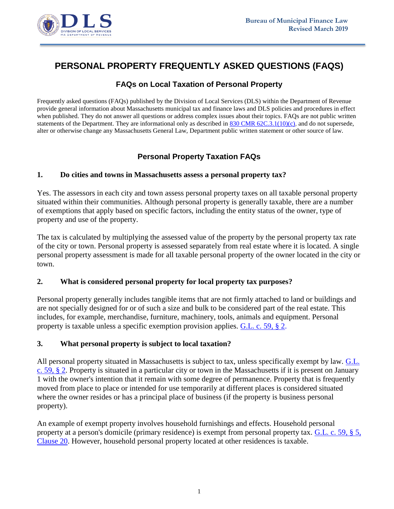

# **PERSONAL PROPERTY FREQUENTLY ASKED QUESTIONS (FAQS)**

# **FAQs on Local Taxation of Personal Property**

Frequently asked questions (FAQs) published by the Division of Local Services (DLS) within the Department of Revenue provide general information about Massachusetts municipal tax and finance laws and DLS policies and procedures in effect when published. They do not answer all questions or address complex issues about their topics. FAQs are not public written statements of the Department. They are informational only as described in [830 CMR 62C.3.1\(10\)\(c\),](https://www.mass.gov/regulations/830-CMR-62c31-department-of-revenue-public-written-statements) and do not supersede, alter or otherwise change any Massachusetts General Law, Department public written statement or other source of law.

# **Personal Property Taxation FAQs**

### **1. Do cities and towns in Massachusetts assess a personal property tax?**

Yes. The assessors in each city and town assess personal property taxes on all taxable personal property situated within their communities. Although personal property is generally taxable, there are a number of exemptions that apply based on specific factors, including the entity status of the owner, type of property and use of the property.

The tax is calculated by multiplying the assessed value of the property by the personal property tax rate of the city or town. Personal property is assessed separately from real estate where it is located. A single personal property assessment is made for all taxable personal property of the owner located in the city or town.

### **2. What is considered personal property for local property tax purposes?**

Personal property generally includes tangible items that are not firmly attached to land or buildings and are not specially designed for or of such a size and bulk to be considered part of the real estate. This includes, for example, merchandise, furniture, machinery, tools, animals and equipment. Personal property is taxable unless a specific exemption provision applies. [G.L. c. 59, § 2.](http://www.malegislature.gov/Laws/GeneralLaws/PartI/TitleIX/Chapter59/Section2)

### **3. What personal property is subject to local taxation?**

All personal property situated in Massachusetts is subject to tax, unless specifically exempt by law. [G.L.](http://www.malegislature.gov/Laws/GeneralLaws/PartI/TitleIX/Chapter59/Section2)  [c. 59, § 2.](http://www.malegislature.gov/Laws/GeneralLaws/PartI/TitleIX/Chapter59/Section2) Property is situated in a particular city or town in the Massachusetts if it is present on January 1 with the owner's intention that it remain with some degree of permanence. Property that is frequently moved from place to place or intended for use temporarily at different places is considered situated where the owner resides or has a principal place of business (if the property is business personal property).

An example of exempt property involves household furnishings and effects. Household personal property at a person's domicile (primary residence) is exempt from personal property tax. [G.L. c. 59, §](http://www.malegislature.gov/Laws/GeneralLaws/PartI/TitleIX/Chapter59/Section2) [5,](http://www.malegislature.gov/Laws/GeneralLaws/PartI/TitleIX/Chapter59/Section2)  [Clause 20.](http://www.malegislature.gov/Laws/GeneralLaws/PartI/TitleIX/Chapter59/Section5) However, household personal property located at other residences is taxable.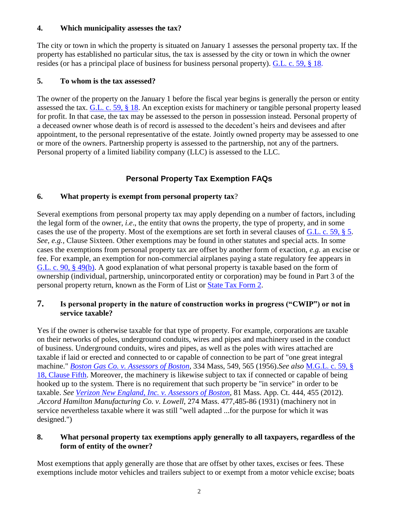### **4. Which municipality assesses the tax?**

The city or town in which the property is situated on January 1 assesses the personal property tax. If the property has established no particular situs, the tax is assessed by the city or town in which the owner resides (or has a principal place of business for business personal property). [G.L. c. 59, § 18.](http://www.malegislature.gov/Laws/GeneralLaws/PartI/TitleIX/Chapter59/Section18)

## **5. To whom is the tax assessed?**

The owner of the property on the January 1 before the fiscal year begins is generally the person or entity assessed the tax. [G.L. c. 59, § 18.](http://www.malegislature.gov/Laws/GeneralLaws/PartI/TitleIX/Chapter59/Section18) An exception exists for machinery or tangible personal property leased for profit. In that case, the tax may be assessed to the person in possession instead. Personal property of a deceased owner whose death is of record is assessed to the decedent's heirs and devisees and after appointment, to the personal representative of the estate. Jointly owned property may be assessed to one or more of the owners. Partnership property is assessed to the partnership, not any of the partners. Personal property of a limited liability company (LLC) is assessed to the LLC.

# **Personal Property Tax Exemption FAQs**

# **6. What property is exempt from personal property tax**?

Several exemptions from personal property tax may apply depending on a number of factors, including the legal form of the owner, *i.e*., the entity that owns the property, the type of property, and in some cases the use of the property. Most of the exemptions are set forth in several clauses of [G.L. c. 59, § 5.](https://malegislature.gov/Laws/GeneralLaws/PartI/TitleIX/Chapter59/Section5) *See, e.g.,* Clause Sixteen. Other exemptions may be found in other statutes and special acts. In some cases the exemptions from personal property tax are offset by another form of exaction, *e.g.* an excise or fee. For example, an exemption for non-commercial airplanes paying a state regulatory fee appears in [G.L. c. 90, § 49\(b\).](https://malegislature.gov/Laws/GeneralLaws/PartI/TitleXIV/Chapter90/Section49) A good explanation of what personal property is taxable based on the form of ownership (individual, partnership, unincorporated entity or corporation) may be found in Part 3 of the personal property return, known as the Form of List or [State Tax Form 2.](https://www.mass.gov/doc/form-2/download)

# **7. Is personal property in the nature of construction works in progress ("CWIP") or not in service taxable?**

Yes if the owner is otherwise taxable for that type of property. For example, corporations are taxable on their networks of poles, underground conduits, wires and pipes and machinery used in the conduct of business. Underground conduits, wires and pipes, as well as the poles with wires attached are taxable if laid or erected and connected to or capable of connection to be part of "one great integral machine." *[Boston Gas Co. v. Assessors of Boston](http://masscases.com/cases/sjc/458/458mass715.html)*, 334 Mass, 549, 565 (1956).*See also* [M.G.L. c. 59, §](https://malegislature.gov/Laws/GeneralLaws/PartI/TitleIX/Chapter59/Section18)  [18, Clause Fifth.](https://malegislature.gov/Laws/GeneralLaws/PartI/TitleIX/Chapter59/Section18) Moreover, the machinery is likewise subject to tax if connected or capable of being hooked up to the system. There is no requirement that such property be "in service" in order to be taxable. *See [Verizon New England, Inc. v. Assessors of Boston](http://masscases.com/cases/app/81/81massappct444.html)*, 81 Mass. App. Ct. 444, 455 (2012). .*Accord Hamilton Manufacturing Co. v. Lowell*, 274 Mass. 477,485-86 (1931) (machinery not in service nevertheless taxable where it was still "well adapted ...for the purpose for which it was designed.")

## **8. What personal property tax exemptions apply generally to all taxpayers, regardless of the form of entity of the owner?**

Most exemptions that apply generally are those that are offset by other taxes, excises or fees. These exemptions include motor vehicles and trailers subject to or exempt from a motor vehicle excise; boats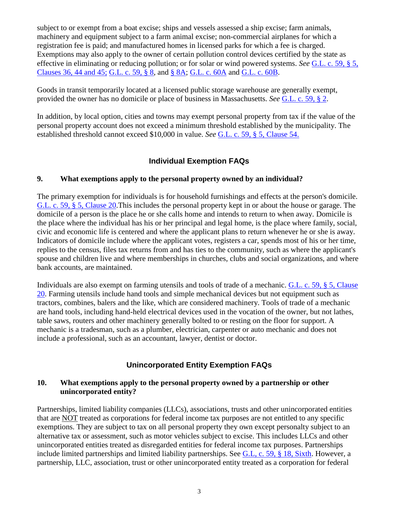subject to or exempt from a boat excise; ships and vessels assessed a ship excise; farm animals, machinery and equipment subject to a farm animal excise; non-commercial airplanes for which a registration fee is paid; and manufactured homes in licensed parks for which a fee is charged. Exemptions may also apply to the owner of certain pollution control devices certified by the state as effective in eliminating or reducing pollution; or for solar or wind powered systems. *See* [G.L. c. 59, § 5,](https://malegislature.gov/Laws/GeneralLaws/PartI/TitleIX/Chapter59/Section5)  [Clauses 36, 44 and 45;](https://malegislature.gov/Laws/GeneralLaws/PartI/TitleIX/Chapter59/Section5) [G.L. c. 59, §](https://malegislature.gov/Laws/GeneralLaws/PartI/TitleIX/Chapter59/Section8) 8, and [§ 8A;](https://malegislature.gov/Laws/GeneralLaws/PartI/TitleIX/Chapter59/Section8A) [G.L. c. 60A](https://malegislature.gov/Laws/GeneralLaws/PartI/TitleIX/Chapter60A) and [G.L. c. 60B.](https://malegislature.gov/Laws/GeneralLaws/PartI/TitleIX/Chapter60B)

Goods in transit temporarily located at a licensed public storage warehouse are generally exempt, provided the owner has no domicile or place of business in Massachusetts. *See* [G.L. c. 59, § 2.](https://malegislature.gov/Laws/GeneralLaws/PartI/TitleIX/Chapter59/Section2)

In addition, by local option, cities and towns may exempt personal property from tax if the value of the personal property account does not exceed a minimum threshold established by the municipality. The established threshold cannot exceed \$10,000 in value. *See* [G.L. c. 59, § 5, Clause 54.](https://malegislature.gov/Laws/GeneralLaws/PartI/TitleIX/Chapter59/Section5)

# **Individual Exemption FAQs**

### **9. What exemptions apply to the personal property owned by an individual?**

The primary exemption for individuals is for household furnishings and effects at the person's domicile. [G.L. c. 59, § 5, Clause 20.](https://malegislature.gov/Laws/GeneralLaws/PartI/TitleIX/Chapter59/Section5)This includes the personal property kept in or about the house or garage. The domicile of a person is the place he or she calls home and intends to return to when away. Domicile is the place where the individual has his or her principal and legal home, is the place where family, social, civic and economic life is centered and where the applicant plans to return whenever he or she is away. Indicators of domicile include where the applicant votes, registers a car, spends most of his or her time, replies to the census, files tax returns from and has ties to the community, such as where the applicant's spouse and children live and where memberships in churches, clubs and social organizations, and where bank accounts, are maintained.

Individuals are also exempt on farming utensils and tools of trade of a mechanic. [G.L. c. 59, § 5, Clause](https://malegislature.gov/Laws/GeneralLaws/PartI/TitleIX/Chapter59/Section5)  [20.](https://malegislature.gov/Laws/GeneralLaws/PartI/TitleIX/Chapter59/Section5) Farming utensils include hand tools and simple mechanical devices but not equipment such as tractors, combines, balers and the like, which are considered machinery. Tools of trade of a mechanic are hand tools, including hand-held electrical devices used in the vocation of the owner, but not lathes, table saws, routers and other machinery generally bolted to or resting on the floor for support. A mechanic is a tradesman, such as a plumber, electrician, carpenter or auto mechanic and does not include a professional, such as an accountant, lawyer, dentist or doctor.

## **Unincorporated Entity Exemption FAQs**

#### **10. What exemptions apply to the personal property owned by a partnership or other unincorporated entity?**

Partnerships, limited liability companies (LLCs), associations, trusts and other unincorporated entities that are NOT treated as corporations for federal income tax purposes are not entitled to any specific exemptions. They are subject to tax on all personal property they own except personalty subject to an alternative tax or assessment, such as motor vehicles subject to excise. This includes LLCs and other unincorporated entities treated as disregarded entities for federal income tax purposes. Partnerships include limited partnerships and limited liability partnerships. See [G.L, c. 59, § 18, Sixth.](https://malegislature.gov/Laws/GeneralLaws/PartI/TitleIX/Chapter59/Section18) However, a partnership, LLC, association, trust or other unincorporated entity treated as a corporation for federal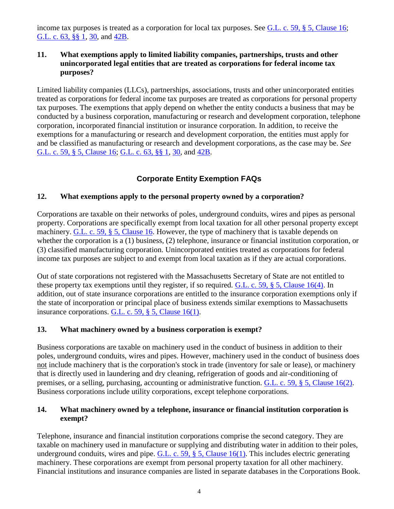income tax purposes is treated as a corporation for local tax purposes. See [G.L. c. 59, § 5, Clause 16;](https://malegislature.gov/Laws/GeneralLaws/PartI/TitleIX/Chapter59/Section5) G.L. c. 63, <u>§§ 1, 30</u>, and <u>42B</u>.

### **11. What exemptions apply to limited liability companies, partnerships, trusts and other unincorporated legal entities that are treated as corporations for federal income tax purposes?**

Limited liability companies (LLCs), partnerships, associations, trusts and other unincorporated entities treated as corporations for federal income tax purposes are treated as corporations for personal property tax purposes. The exemptions that apply depend on whether the entity conducts a business that may be conducted by a business corporation, manufacturing or research and development corporation, telephone corporation, incorporated financial institution or insurance corporation. In addition, to receive the exemptions for a manufacturing or research and development corporation, the entities must apply for and be classified as manufacturing or research and development corporations, as the case may be. *See* [G.L. c. 59, § 5, Clause 16;](https://malegislature.gov/Laws/GeneralLaws/PartI/TitleIX/Chapter59/Section5) [G.L. c. 63, §§ 1,](https://malegislature.gov/Laws/GeneralLaws/PartI/TitleIX/Chapter63/Section1) [30,](https://malegislature.gov/Laws/GeneralLaws/PartI/TitleIX/Chapter63/Section30) and [42B.](https://malegislature.gov/Laws/GeneralLaws/PartI/TitleIX/Chapter63/Section42B)

# **Corporate Entity Exemption FAQs**

## **12. What exemptions apply to the personal property owned by a corporation?**

Corporations are taxable on their networks of poles, underground conduits, wires and pipes as personal property. Corporations are specifically exempt from local taxation for all other personal property except machinery. G.L. c. 59,  $\S$  5, Clause 16. However, the type of machinery that is taxable depends on whether the corporation is a (1) business, (2) telephone, insurance or financial institution corporation, or (3) classified manufacturing corporation. Unincorporated entities treated as corporations for federal income tax purposes are subject to and exempt from local taxation as if they are actual corporations.

Out of state corporations not registered with the Massachusetts Secretary of State are not entitled to these property tax exemptions until they register, if so required. [G.L. c. 59, § 5, Clause 16\(4\).](https://malegislature.gov/Laws/GeneralLaws/PartI/TitleIX/Chapter59/Section5) In addition, out of state insurance corporations are entitled to the insurance corporation exemptions only if the state of incorporation or principal place of business extends similar exemptions to Massachusetts insurance corporations. [G.L. c. 59, § 5, Clause 16\(1\).](https://malegislature.gov/Laws/GeneralLaws/PartI/TitleIX/Chapter59/Section5)

### **13. What machinery owned by a business corporation is exempt?**

Business corporations are taxable on machinery used in the conduct of business in addition to their poles, underground conduits, wires and pipes. However, machinery used in the conduct of business does not include machinery that is the corporation's stock in trade (inventory for sale or lease), or machinery that is directly used in laundering and dry cleaning, refrigeration of goods and air-conditioning of premises, or a selling, purchasing, accounting or administrative function. [G.L. c. 59, § 5, Clause 16\(2\).](https://malegislature.gov/Laws/GeneralLaws/PartI/TitleIX/Chapter59/Section5) Business corporations include utility corporations, except telephone corporations.

### **14. What machinery owned by a telephone, insurance or financial institution corporation is exempt?**

Telephone, insurance and financial institution corporations comprise the second category. They are taxable on machinery used in manufacture or supplying and distributing water in addition to their poles, underground conduits, wires and pipe. G.L. c. 59,  $\S$  5, Clause 16(1). This includes electric generating machinery. These corporations are exempt from personal property taxation for all other machinery. Financial institutions and insurance companies are listed in separate databases in the Corporations Book.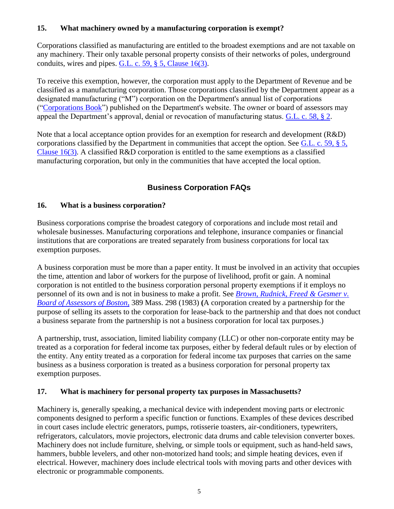## **15. What machinery owned by a manufacturing corporation is exempt?**

Corporations classified as manufacturing are entitled to the broadest exemptions and are not taxable on any machinery. Their only taxable personal property consists of their networks of poles, underground conduits, wires and pipes. [G.L. c. 59, § 5, Clause 16\(3\).](https://malegislature.gov/Laws/GeneralLaws/PartI/TitleIX/Chapter59/Section5)

To receive this exemption, however, the corporation must apply to the Department of Revenue and be classified as a manufacturing corporation. Those corporations classified by the Department appear as a designated manufacturing ("M") corporation on the Department's annual list of corporations (["Corporations Book"](https://www.mass.gov/service-details/the-corporations-book)) published on the Department's website. The owner or board of assessors may appeal the Department's approval, denial or revocation of manufacturing status. [G.L. c. 58, § 2.](https://malegislature.gov/Laws/GeneralLaws/PartI/TitleIX/Chapter58/Section2)

Note that a local acceptance option provides for an exemption for research and development (R&D) corporations classified by the Department in communities that accept the option. See [G.L. c. 59, § 5,](https://malegislature.gov/Laws/GeneralLaws/PartI/TitleIX/Chapter59/Section5)  [Clause 16\(3\).](https://malegislature.gov/Laws/GeneralLaws/PartI/TitleIX/Chapter59/Section5) A classified R&D corporation is entitled to the same exemptions as a classified manufacturing corporation, but only in the communities that have accepted the local option.

# **Business Corporation FAQs**

## **16. What is a business corporation?**

Business corporations comprise the broadest category of corporations and include most retail and wholesale businesses. Manufacturing corporations and telephone, insurance companies or financial institutions that are corporations are treated separately from business corporations for local tax exemption purposes.

A business corporation must be more than a paper entity. It must be involved in an activity that occupies the time, attention and labor of workers for the purpose of livelihood, profit or gain. A nominal corporation is not entitled to the business corporation personal property exemptions if it employs no personnel of its own and is not in business to make a profit. See *[Brown, Rudnick, Freed & Gesmer v.](http://masscases.com/cases/sjc/389/389mass298.html)  [Board of Assessors of Boston](http://masscases.com/cases/sjc/389/389mass298.html)*, 389 Mass. 298 (1983) **(**A corporation created by a partnership for the purpose of selling its assets to the corporation for lease-back to the partnership and that does not conduct a business separate from the partnership is not a business corporation for local tax purposes.)

A partnership, trust, association, limited liability company (LLC) or other non-corporate entity may be treated as a corporation for federal income tax purposes, either by federal default rules or by election of the entity. Any entity treated as a corporation for federal income tax purposes that carries on the same business as a business corporation is treated as a business corporation for personal property tax exemption purposes.

### **17. What is machinery for personal property tax purposes in Massachusetts?**

Machinery is, generally speaking, a mechanical device with independent moving parts or electronic components designed to perform a specific function or functions. Examples of these devices described in court cases include electric generators, pumps, rotisserie toasters, air-conditioners, typewriters, refrigerators, calculators, movie projectors, electronic data drums and cable television converter boxes. Machinery does not include furniture, shelving, or simple tools or equipment, such as hand-held saws, hammers, bubble levelers, and other non-motorized hand tools; and simple heating devices, even if electrical. However, machinery does include electrical tools with moving parts and other devices with electronic or programmable components.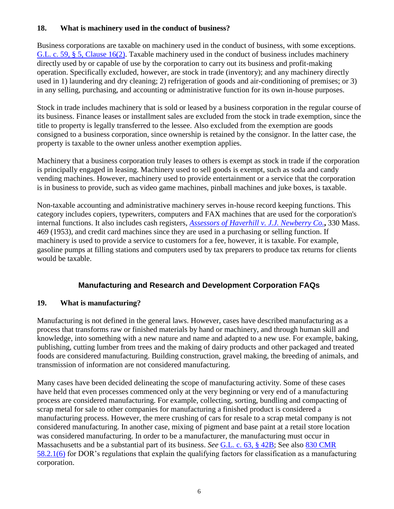## **18. What is machinery used in the conduct of business?**

Business corporations are taxable on machinery used in the conduct of business, with some exceptions. [G.L. c. 59, § 5, Clause 16\(2\).](https://malegislature.gov/Laws/GeneralLaws/PartI/TitleIX/Chapter59/Section5) Taxable machinery used in the conduct of business includes machinery directly used by or capable of use by the corporation to carry out its business and profit-making operation. Specifically excluded, however, are stock in trade (inventory); and any machinery directly used in 1) laundering and dry cleaning; 2) refrigeration of goods and air-conditioning of premises; or 3) in any selling, purchasing, and accounting or administrative function for its own in-house purposes.

Stock in trade includes machinery that is sold or leased by a business corporation in the regular course of its business. Finance leases or installment sales are excluded from the stock in trade exemption, since the title to property is legally transferred to the lessee. Also excluded from the exemption are goods consigned to a business corporation, since ownership is retained by the consignor. In the latter case, the property is taxable to the owner unless another exemption applies.

Machinery that a business corporation truly leases to others is exempt as stock in trade if the corporation is principally engaged in leasing. Machinery used to sell goods is exempt, such as soda and candy vending machines. However, machinery used to provide entertainment or a service that the corporation is in business to provide, such as video game machines, pinball machines and juke boxes, is taxable.

Non-taxable accounting and administrative machinery serves in-house record keeping functions. This category includes copiers, typewriters, computers and FAX machines that are used for the corporation's internal functions. It also includes cash registers, *[Assessors of Haverhill v. J.J. Newberry Co.](http://masscases.com/cases/sjc/330/330mass469.html)***,** 330 Mass. 469 (1953), and credit card machines since they are used in a purchasing or selling function. If machinery is used to provide a service to customers for a fee, however, it is taxable. For example, gasoline pumps at filling stations and computers used by tax preparers to produce tax returns for clients would be taxable.

## **Manufacturing and Research and Development Corporation FAQs**

### **19. What is manufacturing?**

Manufacturing is not defined in the general laws. However, cases have described manufacturing as a process that transforms raw or finished materials by hand or machinery, and through human skill and knowledge, into something with a new nature and name and adapted to a new use. For example, baking, publishing, cutting lumber from trees and the making of dairy products and other packaged and treated foods are considered manufacturing. Building construction, gravel making, the breeding of animals, and transmission of information are not considered manufacturing.

Many cases have been decided delineating the scope of manufacturing activity. Some of these cases have held that even processes commenced only at the very beginning or very end of a manufacturing process are considered manufacturing. For example, collecting, sorting, bundling and compacting of scrap metal for sale to other companies for manufacturing a finished product is considered a manufacturing process. However, the mere crushing of cars for resale to a scrap metal company is not considered manufacturing. In another case, mixing of pigment and base paint at a retail store location was considered manufacturing. In order to be a manufacturer, the manufacturing must occur in Massachusetts and be a substantial part of its business. *See* [G.L. c. 63, § 42B;](https://malegislature.gov/Laws/GeneralLaws/PartI/TitleIX/Chapter63/Section42b) See also [830 CMR](http://www.mass.gov/dor/businesses/help-and-resources/legal-library/regulations/58-00-59-00-local-taxes-local-assessment/830-cmr-5821-manufacturing-corporations.html)  [58.2.1\(6\)](http://www.mass.gov/dor/businesses/help-and-resources/legal-library/regulations/58-00-59-00-local-taxes-local-assessment/830-cmr-5821-manufacturing-corporations.html) for DOR's regulations that explain the qualifying factors for classification as a manufacturing corporation.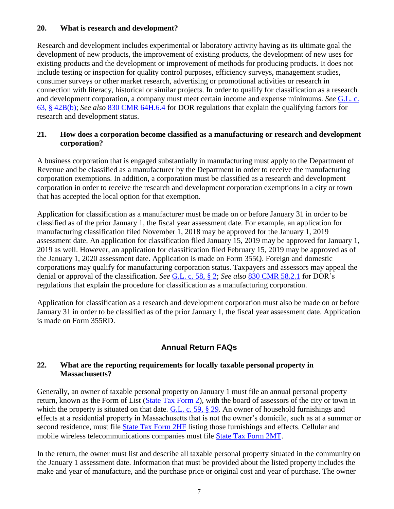### **20. What is research and development?**

Research and development includes experimental or laboratory activity having as its ultimate goal the development of new products, the improvement of existing products, the development of new uses for existing products and the development or improvement of methods for producing products. It does not include testing or inspection for quality control purposes, efficiency surveys, management studies, consumer surveys or other market research, advertising or promotional activities or research in connection with literacy, historical or similar projects. In order to qualify for classification as a research and development corporation, a company must meet certain income and expense minimums. *See* [G.L. c.](https://malegislature.gov/Laws/GeneralLaws/PartI/TitleIX/Chapter63/Section42b)  [63, § 42B\(b\);](https://malegislature.gov/Laws/GeneralLaws/PartI/TitleIX/Chapter63/Section42b) *See also* [830 CMR 64H.6.4](http://www.mass.gov/dor/businesses/help-and-resources/legal-library/regulations/64h-00-sales-and-use-tax/830-cmr-64h64-research-and-development.html) for DOR regulations that explain the qualifying factors for research and development status.

### **21. How does a corporation become classified as a manufacturing or research and development corporation?**

A business corporation that is engaged substantially in manufacturing must apply to the Department of Revenue and be classified as a manufacturer by the Department in order to receive the manufacturing corporation exemptions. In addition, a corporation must be classified as a research and development corporation in order to receive the research and development corporation exemptions in a city or town that has accepted the local option for that exemption.

Application for classification as a manufacturer must be made on or before January 31 in order to be classified as of the prior January 1, the fiscal year assessment date. For example, an application for manufacturing classification filed November 1, 2018 may be approved for the January 1, 2019 assessment date. An application for classification filed January 15, 2019 may be approved for January 1, 2019 as well. However, an application for classification filed February 15, 2019 may be approved as of the January 1, 2020 assessment date. Application is made on Form 355Q. Foreign and domestic corporations may qualify for manufacturing corporation status. Taxpayers and assessors may appeal the denial or approval of the classification. *See* [G.L. c. 58, § 2;](https://malegislature.gov/Laws/GeneralLaws/PartI/TitleIX/Chapter58/Section2) *See also* [830 CMR 58.2.1](http://www.mass.gov/dor/businesses/help-and-resources/legal-library/regulations/58-00-59-00-local-taxes-local-assessment/830-cmr-5821-manufacturing-corporations.html) for DOR's regulations that explain the procedure for classification as a manufacturing corporation.

Application for classification as a research and development corporation must also be made on or before January 31 in order to be classified as of the prior January 1, the fiscal year assessment date. Application is made on Form 355RD.

# **Annual Return FAQs**

### **22. What are the reporting requirements for locally taxable personal property in Massachusetts?**

Generally, an owner of taxable personal property on January 1 must file an annual personal property return, known as the Form of List [\(State Tax Form 2\)](https://www.mass.gov/doc/form-2/download), with the board of assessors of the city or town in which the property is situated on that date. [G.L. c. 59, § 29.](https://malegislature.gov/Laws/GeneralLaws/PartI/TitleIX/Chapter59/Section29) An owner of household furnishings and effects at a residential property in Massachusetts that is not the owner's domicile, such as at a summer or second residence, must file [State Tax Form 2HF](https://www.mass.gov/doc/form-2hf/download) listing those furnishings and effects. Cellular and mobile wireless telecommunications companies must file [State Tax Form 2MT.](https://www.mass.gov/doc/mobile-telecommunications-taxable-personal-property-form-of-list/download)

In the return, the owner must list and describe all taxable personal property situated in the community on the January 1 assessment date. Information that must be provided about the listed property includes the make and year of manufacture, and the purchase price or original cost and year of purchase. The owner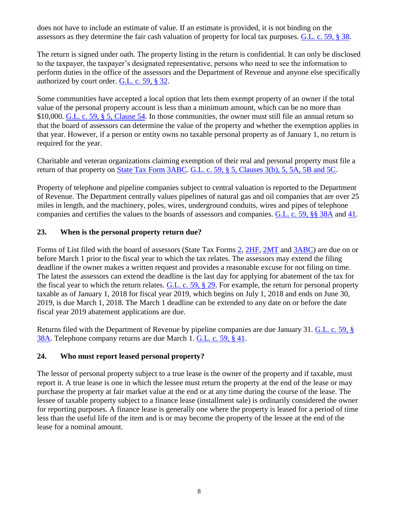does not have to include an estimate of value. If an estimate is provided, it is not binding on the assessors as they determine the fair cash valuation of property for local tax purposes. [G.L. c. 59, § 38.](https://malegislature.gov/Laws/GeneralLaws/PartI/TitleIX/Chapter59/Section38)

The return is signed under oath. The property listing in the return is confidential. It can only be disclosed to the taxpayer, the taxpayer's designated representative, persons who need to see the information to perform duties in the office of the assessors and the Department of Revenue and anyone else specifically authorized by court order. [G.L. c. 59, § 32.](https://malegislature.gov/Laws/GeneralLaws/PartI/TitleIX/Chapter59/Section32)

Some communities have accepted a local option that lets them exempt property of an owner if the total value of the personal property account is less than a minimum amount, which can be no more than \$10,000. [G.L. c. 59, § 5, Clause 54.](https://malegislature.gov/Laws/GeneralLaws/PartI/TitleIX/Chapter59/Section5) In those communities, the owner must still file an annual return so that the board of assessors can determine the value of the property and whether the exemption applies in that year. However, if a person or entity owns no taxable personal property as of January 1, no return is required for the year.

Charitable and veteran organizations claiming exemption of their real and personal property must file a return of that property on [State Tax Form 3ABC.](https://www.mass.gov/doc/form-3abc/download) [G.L. c. 59, § 5, Clauses 3\(b\), 5, 5A, 5B and 5C.](https://malegislature.gov/Laws/GeneralLaws/PartI/TitleIX/Chapter59/Section5)

Property of telephone and pipeline companies subject to central valuation is reported to the Department of Revenue. The Department centrally values pipelines of natural gas and oil companies that are over 25 miles in length, and the machinery, poles, wires, underground conduits, wires and pipes of telephone companies and certifies the values to the boards of assessors and companies. [G.L. c. 59, §§ 38A](https://malegislature.gov/Laws/GeneralLaws/PartI/TitleIX/Chapter59/Section38A) and [41.](https://malegislature.gov/Laws/GeneralLaws/PartI/TitleIX/Chapter59/Section41)

## **23. When is the personal property return due?**

Forms of List filed with the board of assessors (State Tax Forms [2,](https://www.mass.gov/doc/form-2/download) [2HF,](https://www.mass.gov/doc/form-2hf/download) [2MT](https://www.mass.gov/doc/mobile-telecommunications-taxable-personal-property-form-of-list/download) and [3ABC\)](https://www.mass.gov/doc/form-3abc/download) are due on or before March 1 prior to the fiscal year to which the tax relates. The assessors may extend the filing deadline if the owner makes a written request and provides a reasonable excuse for not filing on time. The latest the assessors can extend the deadline is the last day for applying for abatement of the tax for the fiscal year to which the return relates.  $G.L. c. 59, § 29$ . For example, the return for personal property taxable as of January 1, 2018 for fiscal year 2019, which begins on July 1, 2018 and ends on June 30, 2019, is due March 1, 2018. The March 1 deadline can be extended to any date on or before the date fiscal year 2019 abatement applications are due.

Returns filed with the Department of Revenue by pipeline companies are due January 31. [G.L. c. 59, §](https://malegislature.gov/Laws/GeneralLaws/PartI/TitleIX/Chapter59/Section38A)  [38A.](https://malegislature.gov/Laws/GeneralLaws/PartI/TitleIX/Chapter59/Section38A) Telephone company returns are due March 1. [G.L. c. 59, § 41.](https://malegislature.gov/Laws/GeneralLaws/PartI/TitleIX/Chapter59/Section41)

### **24. Who must report leased personal property?**

The lessor of personal property subject to a true lease is the owner of the property and if taxable, must report it. A true lease is one in which the lessee must return the property at the end of the lease or may purchase the property at fair market value at the end or at any time during the course of the lease. The lessee of taxable property subject to a finance lease (installment sale) is ordinarily considered the owner for reporting purposes. A finance lease is generally one where the property is leased for a period of time less than the useful life of the item and is or may become the property of the lessee at the end of the lease for a nominal amount.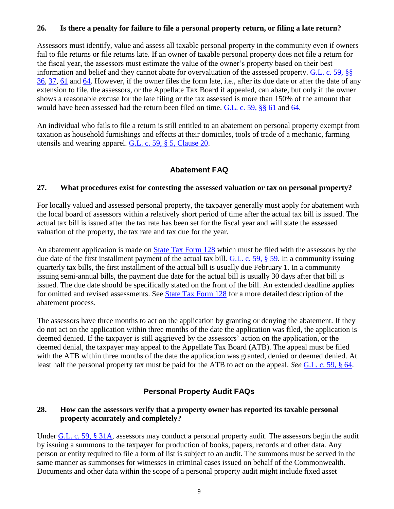#### **26. Is there a penalty for failure to file a personal property return, or filing a late return?**

Assessors must identify, value and assess all taxable personal property in the community even if owners fail to file returns or file returns late. If an owner of taxable personal property does not file a return for the fiscal year, the assessors must estimate the value of the owner's property based on their best information and belief and they cannot abate for overvaluation of the assessed property. [G.L. c. 59, §§](https://malegislature.gov/Laws/GeneralLaws/PartI/TitleIX/Chapter59/Section36)  [36,](https://malegislature.gov/Laws/GeneralLaws/PartI/TitleIX/Chapter59/Section36) [37,](https://malegislature.gov/Laws/GeneralLaws/PartI/TitleIX/Chapter59/Section37) [61](https://malegislature.gov/Laws/GeneralLaws/PartI/TitleIX/Chapter59/Section61) and [64.](https://malegislature.gov/Laws/GeneralLaws/PartI/TitleIX/Chapter59/Section64) However, if the owner files the form late, i.e., after its due date or after the date of any extension to file, the assessors, or the Appellate Tax Board if appealed, can abate, but only if the owner shows a reasonable excuse for the late filing or the tax assessed is more than 150% of the amount that would have been assessed had the return been filed on time. [G.L. c. 59, §§ 61](https://malegislature.gov/Laws/GeneralLaws/PartI/TitleIX/Chapter59/Section61) and [64.](https://malegislature.gov/Laws/GeneralLaws/PartI/TitleIX/Chapter59/Section64)

An individual who fails to file a return is still entitled to an abatement on personal property exempt from taxation as household furnishings and effects at their domiciles, tools of trade of a mechanic, farming utensils and wearing apparel. [G.L. c. 59, § 5, Clause 20.](https://malegislature.gov/Laws/GeneralLaws/PartI/TitleIX/Chapter59/Section5)

## **Abatement FAQ**

### **27. What procedures exist for contesting the assessed valuation or tax on personal property?**

For locally valued and assessed personal property, the taxpayer generally must apply for abatement with the local board of assessors within a relatively short period of time after the actual tax bill is issued. The actual tax bill is issued after the tax rate has been set for the fiscal year and will state the assessed valuation of the property, the tax rate and tax due for the year.

An abatement application is made on [State Tax Form 128](https://www.mass.gov/doc/real-and-personal-property-tax/download) which must be filed with the assessors by the due date of the first installment payment of the actual tax bill. [G.L. c. 59, § 59.](https://malegislature.gov/Laws/GeneralLaws/PartI/TitleIX/Chapter59/Section59) In a community issuing quarterly tax bills, the first installment of the actual bill is usually due February 1. In a community issuing semi-annual bills, the payment due date for the actual bill is usually 30 days after that bill is issued. The due date should be specifically stated on the front of the bill. An extended deadline applies for omitted and revised assessments. See [State Tax Form 128](https://www.mass.gov/doc/real-and-personal-property-tax/download) for a more detailed description of the abatement process.

The assessors have three months to act on the application by granting or denying the abatement. If they do not act on the application within three months of the date the application was filed, the application is deemed denied. If the taxpayer is still aggrieved by the assessors' action on the application, or the deemed denial, the taxpayer may appeal to the Appellate Tax Board (ATB). The appeal must be filed with the ATB within three months of the date the application was granted, denied or deemed denied. At least half the personal property tax must be paid for the ATB to act on the appeal. *See* [G.L. c. 59, § 64.](https://malegislature.gov/Laws/GeneralLaws/PartI/TitleIX/Chapter59/Section64)

## **Personal Property Audit FAQs**

### **28. How can the assessors verify that a property owner has reported its taxable personal property accurately and completely?**

Under [G.L. c. 59, § 31A,](https://malegislature.gov/Laws/GeneralLaws/PartI/TitleIX/Chapter59/Section31A) assessors may conduct a personal property audit. The assessors begin the audit by issuing a summons to the taxpayer for production of books, papers, records and other data. Any person or entity required to file a form of list is subject to an audit. The summons must be served in the same manner as summonses for witnesses in criminal cases issued on behalf of the Commonwealth. Documents and other data within the scope of a personal property audit might include fixed asset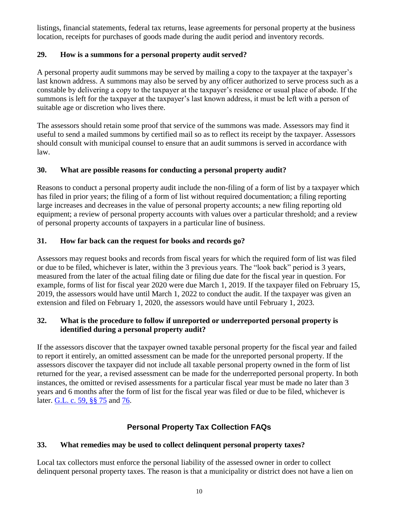listings, financial statements, federal tax returns, lease agreements for personal property at the business location, receipts for purchases of goods made during the audit period and inventory records.

## **29. How is a summons for a personal property audit served?**

A personal property audit summons may be served by mailing a copy to the taxpayer at the taxpayer's last known address. A summons may also be served by any officer authorized to serve process such as a constable by delivering a copy to the taxpayer at the taxpayer's residence or usual place of abode. If the summons is left for the taxpayer at the taxpayer's last known address, it must be left with a person of suitable age or discretion who lives there.

The assessors should retain some proof that service of the summons was made. Assessors may find it useful to send a mailed summons by certified mail so as to reflect its receipt by the taxpayer. Assessors should consult with municipal counsel to ensure that an audit summons is served in accordance with law.

## **30. What are possible reasons for conducting a personal property audit?**

Reasons to conduct a personal property audit include the non-filing of a form of list by a taxpayer which has filed in prior years; the filing of a form of list without required documentation; a filing reporting large increases and decreases in the value of personal property accounts; a new filing reporting old equipment; a review of personal property accounts with values over a particular threshold; and a review of personal property accounts of taxpayers in a particular line of business.

# **31. How far back can the request for books and records go?**

Assessors may request books and records from fiscal years for which the required form of list was filed or due to be filed, whichever is later, within the 3 previous years. The "look back" period is 3 years, measured from the later of the actual filing date or filing due date for the fiscal year in question. For example, forms of list for fiscal year 2020 were due March 1, 2019. If the taxpayer filed on February 15, 2019, the assessors would have until March 1, 2022 to conduct the audit. If the taxpayer was given an extension and filed on February 1, 2020, the assessors would have until February 1, 2023.

## **32. What is the procedure to follow if unreported or underreported personal property is identified during a personal property audit?**

If the assessors discover that the taxpayer owned taxable personal property for the fiscal year and failed to report it entirely, an omitted assessment can be made for the unreported personal property. If the assessors discover the taxpayer did not include all taxable personal property owned in the form of list returned for the year, a revised assessment can be made for the underreported personal property. In both instances, the omitted or revised assessments for a particular fiscal year must be made no later than 3 years and 6 months after the form of list for the fiscal year was filed or due to be filed, whichever is later. [G.L. c. 59, §§ 75](https://malegislature.gov/Laws/GeneralLaws/PartI/TitleIX/Chapter59/Section75) and [76.](https://malegislature.gov/Laws/GeneralLaws/PartI/TitleIX/Chapter59/Section76)

# **Personal Property Tax Collection FAQs**

## **33. What remedies may be used to collect delinquent personal property taxes?**

Local tax collectors must enforce the personal liability of the assessed owner in order to collect delinquent personal property taxes. The reason is that a municipality or district does not have a lien on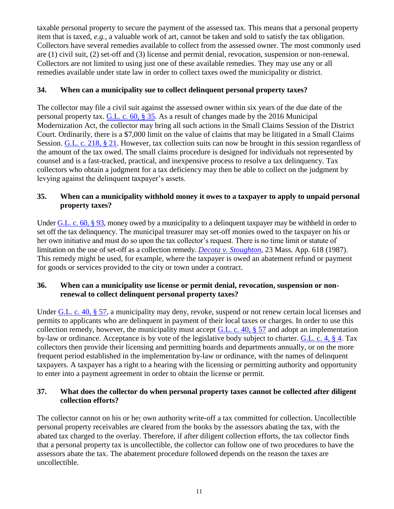taxable personal property to secure the payment of the assessed tax. This means that a personal property item that is taxed, *e.g.,* a valuable work of art, cannot be taken and sold to satisfy the tax obligation. Collectors have several remedies available to collect from the assessed owner. The most commonly used are (1) civil suit, (2) set-off and (3) license and permit denial, revocation, suspension or non-renewal. Collectors are not limited to using just one of these available remedies. They may use any or all remedies available under state law in order to collect taxes owed the municipality or district.

## **34. When can a municipality sue to collect delinquent personal property taxes?**

The collector may file a civil suit against the assessed owner within six years of the due date of the personal property tax. [G.L. c. 60, § 35.](https://malegislature.gov/Laws/GeneralLaws/PartI/TitleIX/Chapter60/Section35) As a result of changes made by the 2016 Municipal Modernization Act, the collector may bring all such actions in the Small Claims Session of the District Court. Ordinarily, there is a \$7,000 limit on the value of claims that may be litigated in a Small Claims Session. [G.L. c. 218, § 21.](https://malegislature.gov/Laws/GeneralLaws/PartIII/TitleI/Chapter218/Section21) However, tax collection suits can now be brought in this session regardless of the amount of the tax owed. The small claims procedure is designed for individuals not represented by counsel and is a fast-tracked, practical, and inexpensive process to resolve a tax delinquency. Tax collectors who obtain a judgment for a tax deficiency may then be able to collect on the judgment by levying against the delinquent taxpayer's assets.

## **35. When can a municipality withhold money it owes to a taxpayer to apply to unpaid personal property taxes?**

Under [G.L. c. 60, § 93,](https://malegislature.gov/Laws/GeneralLaws/PartI/TitleIX/Chapter60/Section93) money owed by a municipality to a delinguent taxpayer may be withheld in order to set off the tax delinquency. The municipal treasurer may set-off monies owed to the taxpayer on his or her own initiative and must do so upon the tax collector's request. There is no time limit or statute of limitation on the use of set-off as a collection remedy. *[Decota v. Stoughton](http://masscases.com/cases/app/23/23massappct618.html)*, 23 Mass. App. 618 (1987). This remedy might be used, for example, where the taxpayer is owed an abatement refund or payment for goods or services provided to the city or town under a contract.

### **36. When can a municipality use license or permit denial, revocation, suspension or nonrenewal to collect delinquent personal property taxes?**

Under [G.L. c. 40, § 57,](https://malegislature.gov/Laws/GeneralLaws/PartI/TitleVII/Chapter40/Section57) a municipality may deny, revoke, suspend or not renew certain local licenses and permits to applicants who are delinquent in payment of their local taxes or charges. In order to use this collection remedy, however, the municipality must accept G.L. c. 40,  $\S$  57 and adopt an implementation by-law or ordinance. Acceptance is by vote of the legislative body subject to charter. [G.L. c. 4, § 4.](https://malegislature.gov/Laws/GeneralLaws/PartI/TitleI/Chapter4/Section4) Tax collectors then provide their licensing and permitting boards and departments annually, or on the more frequent period established in the implementation by-law or ordinance, with the names of delinquent taxpayers. A taxpayer has a right to a hearing with the licensing or permitting authority and opportunity to enter into a payment agreement in order to obtain the license or permit.

### **37. What does the collector do when personal property taxes cannot be collected after diligent collection efforts?**

The collector cannot on his or her own authority write-off a tax committed for collection. Uncollectible personal property receivables are cleared from the books by the assessors abating the tax, with the abated tax charged to the overlay. Therefore, if after diligent collection efforts, the tax collector finds that a personal property tax is uncollectible, the collector can follow one of two procedures to have the assessors abate the tax. The abatement procedure followed depends on the reason the taxes are uncollectible.